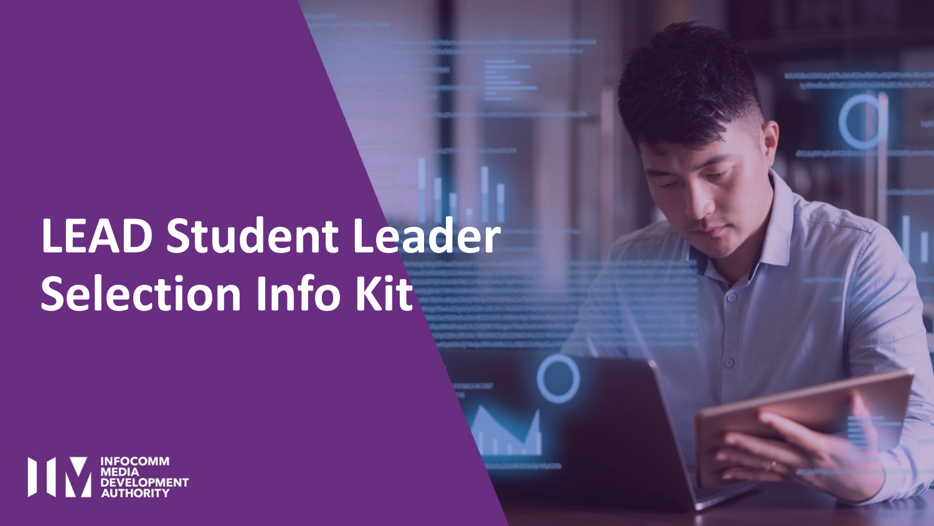# **LEAD Student Leader Selection Info Kit**



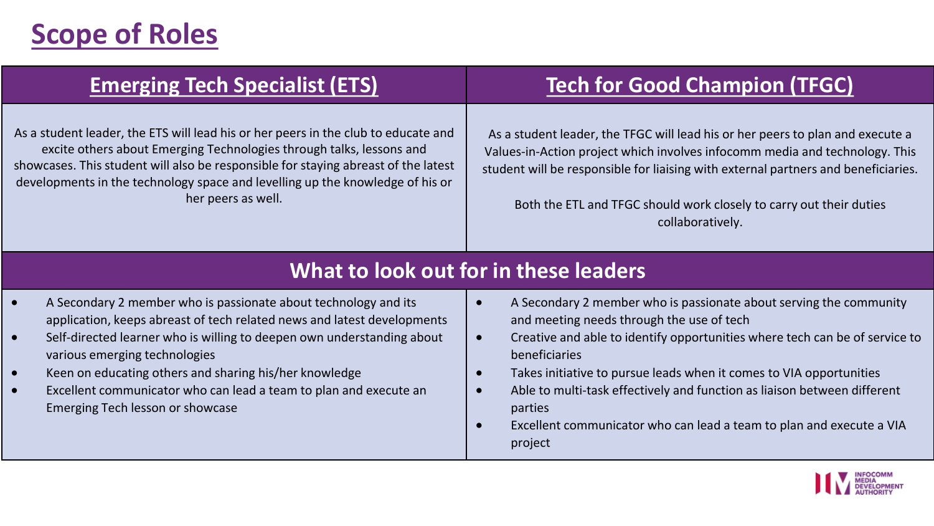## **Scope of Roles**

As a student leader, the ETS will lead his or her peers in the club to educate and excite others about Emerging Technologies through talks, lessons and showcases. This student will also be responsible for staying abreast of the latest developments in the technology space and levelling up the knowledge of his or her peers as well.

### **Emerging Tech Specialist (ETS) Tech for Good Champion (TFGC)**

As a student leader, the TFGC will lead his or her peers to plan and execute a Values-in-Action project which involves infocomm media and technology. This student will be responsible for liaising with external partners and beneficiaries.

Both the ETL and TFGC should work closely to carry out their duties collaboratively.

#### **What to look out for in these leaders**

- A Secondary 2 member who is passionate about technology and its application, keeps abreast of tech related news and latest developments
- Self-directed learner who is willing to deepen own understanding about various emerging technologies
- Keen on educating others and sharing his/her knowledge
- Excellent communicator who can lead a team to plan and execute an Emerging Tech lesson or showcase
- A Secondary 2 member who is passionate about serving the community and meeting needs through the use of tech
- Creative and able to identify opportunities where tech can be of service to beneficiaries
- Takes initiative to pursue leads when it comes to VIA opportunities
- Able to multi-task effectively and function as liaison between different parties
- Excellent communicator who can lead a team to plan and execute a VIA project

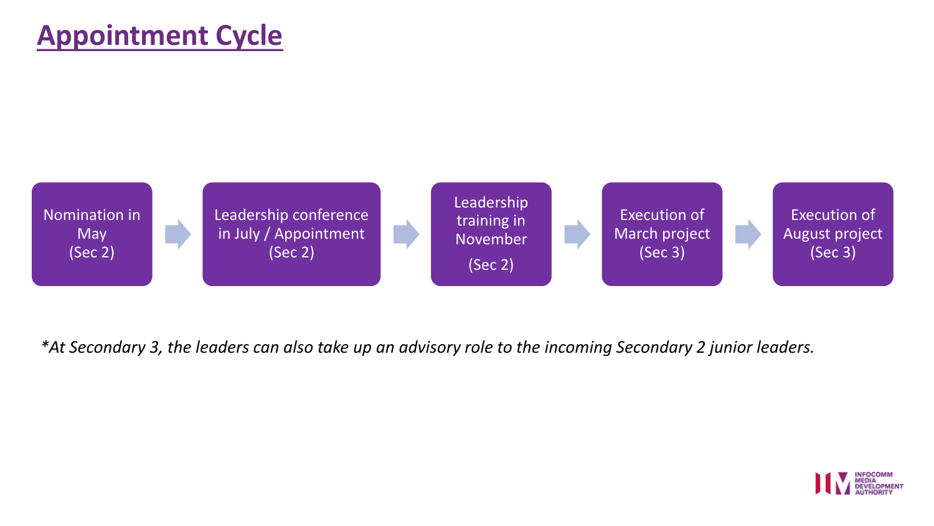### **Appointment Cycle**



*\*At Secondary 3, the leaders can also take up an advisory role to the incoming Secondary 2 junior leaders.*

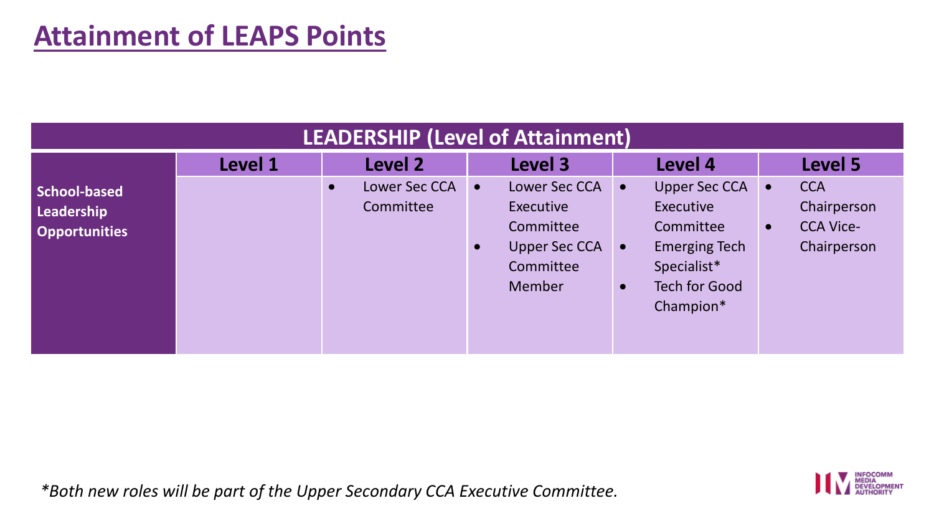| LEADERSHIP (Level of Attainment)                          |         |                                         |                                                                                                                  |                                                                                                                                                            |                                                                                        |  |
|-----------------------------------------------------------|---------|-----------------------------------------|------------------------------------------------------------------------------------------------------------------|------------------------------------------------------------------------------------------------------------------------------------------------------------|----------------------------------------------------------------------------------------|--|
|                                                           | Level 1 | Level 2                                 | Level 3                                                                                                          | Level 4                                                                                                                                                    | Level 5                                                                                |  |
| <b>School-based</b><br>Leadership<br><b>Opportunities</b> |         | Lower Sec CCA<br>$\bullet$<br>Committee | Lower Sec CCA<br>$\bullet$<br>Executive<br>Committee<br><b>Upper Sec CCA</b><br>$\bullet$<br>Committee<br>Member | Upper Sec CCA<br>$\bullet$<br>Executive<br>Committee<br><b>Emerging Tech</b><br>$\bullet$<br>Specialist*<br><b>Tech for Good</b><br>$\bullet$<br>Champion* | <b>CCA</b><br>$\bullet$<br>Chairperson<br><b>CCA Vice-</b><br>$\bullet$<br>Chairperson |  |